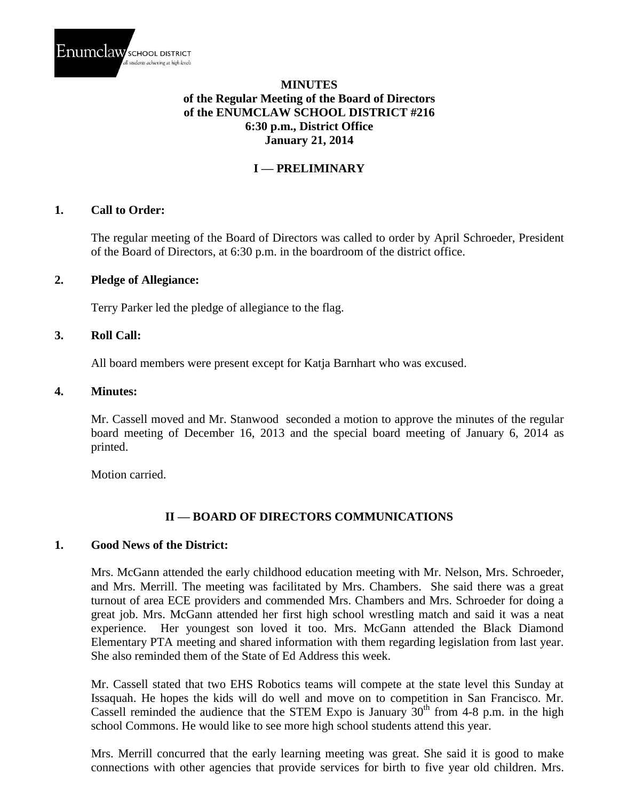

### **MINUTES of the Regular Meeting of the Board of Directors of the ENUMCLAW SCHOOL DISTRICT #216 6:30 p.m., District Office January 21, 2014**

## **I — PRELIMINARY**

#### **1. Call to Order:**

The regular meeting of the Board of Directors was called to order by April Schroeder, President of the Board of Directors, at 6:30 p.m. in the boardroom of the district office.

#### **2. Pledge of Allegiance:**

Terry Parker led the pledge of allegiance to the flag.

#### **3. Roll Call:**

All board members were present except for Katja Barnhart who was excused.

#### **4. Minutes:**

Mr. Cassell moved and Mr. Stanwood seconded a motion to approve the minutes of the regular board meeting of December 16, 2013 and the special board meeting of January 6, 2014 as printed.

Motion carried.

#### **II — BOARD OF DIRECTORS COMMUNICATIONS**

#### **1. Good News of the District:**

Mrs. McGann attended the early childhood education meeting with Mr. Nelson, Mrs. Schroeder, and Mrs. Merrill. The meeting was facilitated by Mrs. Chambers. She said there was a great turnout of area ECE providers and commended Mrs. Chambers and Mrs. Schroeder for doing a great job. Mrs. McGann attended her first high school wrestling match and said it was a neat experience. Her youngest son loved it too. Mrs. McGann attended the Black Diamond Elementary PTA meeting and shared information with them regarding legislation from last year. She also reminded them of the State of Ed Address this week.

Mr. Cassell stated that two EHS Robotics teams will compete at the state level this Sunday at Issaquah. He hopes the kids will do well and move on to competition in San Francisco. Mr. Cassell reminded the audience that the STEM Expo is January  $30<sup>th</sup>$  from 4-8 p.m. in the high school Commons. He would like to see more high school students attend this year.

Mrs. Merrill concurred that the early learning meeting was great. She said it is good to make connections with other agencies that provide services for birth to five year old children. Mrs.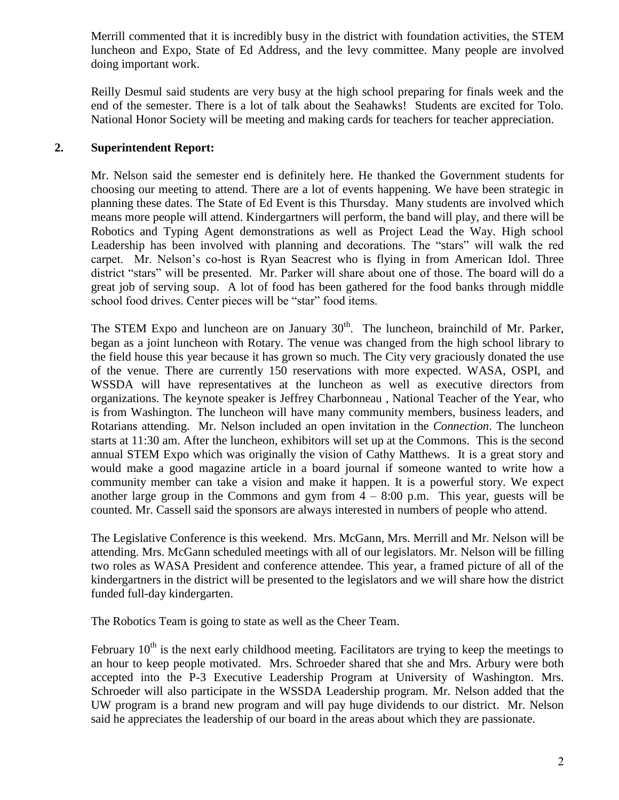Merrill commented that it is incredibly busy in the district with foundation activities, the STEM luncheon and Expo, State of Ed Address, and the levy committee. Many people are involved doing important work.

Reilly Desmul said students are very busy at the high school preparing for finals week and the end of the semester. There is a lot of talk about the Seahawks! Students are excited for Tolo. National Honor Society will be meeting and making cards for teachers for teacher appreciation.

## **2. Superintendent Report:**

Mr. Nelson said the semester end is definitely here. He thanked the Government students for choosing our meeting to attend. There are a lot of events happening. We have been strategic in planning these dates. The State of Ed Event is this Thursday. Many students are involved which means more people will attend. Kindergartners will perform, the band will play, and there will be Robotics and Typing Agent demonstrations as well as Project Lead the Way. High school Leadership has been involved with planning and decorations. The "stars" will walk the red carpet. Mr. Nelson's co-host is Ryan Seacrest who is flying in from American Idol. Three district "stars" will be presented. Mr. Parker will share about one of those. The board will do a great job of serving soup. A lot of food has been gathered for the food banks through middle school food drives. Center pieces will be "star" food items.

The STEM Expo and luncheon are on January  $30<sup>th</sup>$ . The luncheon, brainchild of Mr. Parker, began as a joint luncheon with Rotary. The venue was changed from the high school library to the field house this year because it has grown so much. The City very graciously donated the use of the venue. There are currently 150 reservations with more expected. WASA, OSPI, and WSSDA will have representatives at the luncheon as well as executive directors from organizations. The keynote speaker is Jeffrey Charbonneau , National Teacher of the Year, who is from Washington. The luncheon will have many community members, business leaders, and Rotarians attending. Mr. Nelson included an open invitation in the *Connection*. The luncheon starts at 11:30 am. After the luncheon, exhibitors will set up at the Commons. This is the second annual STEM Expo which was originally the vision of Cathy Matthews. It is a great story and would make a good magazine article in a board journal if someone wanted to write how a community member can take a vision and make it happen. It is a powerful story. We expect another large group in the Commons and gym from  $4 - 8:00$  p.m. This year, guests will be counted. Mr. Cassell said the sponsors are always interested in numbers of people who attend.

The Legislative Conference is this weekend. Mrs. McGann, Mrs. Merrill and Mr. Nelson will be attending. Mrs. McGann scheduled meetings with all of our legislators. Mr. Nelson will be filling two roles as WASA President and conference attendee. This year, a framed picture of all of the kindergartners in the district will be presented to the legislators and we will share how the district funded full-day kindergarten.

The Robotics Team is going to state as well as the Cheer Team.

February  $10<sup>th</sup>$  is the next early childhood meeting. Facilitators are trying to keep the meetings to an hour to keep people motivated. Mrs. Schroeder shared that she and Mrs. Arbury were both accepted into the P-3 Executive Leadership Program at University of Washington. Mrs. Schroeder will also participate in the WSSDA Leadership program. Mr. Nelson added that the UW program is a brand new program and will pay huge dividends to our district. Mr. Nelson said he appreciates the leadership of our board in the areas about which they are passionate.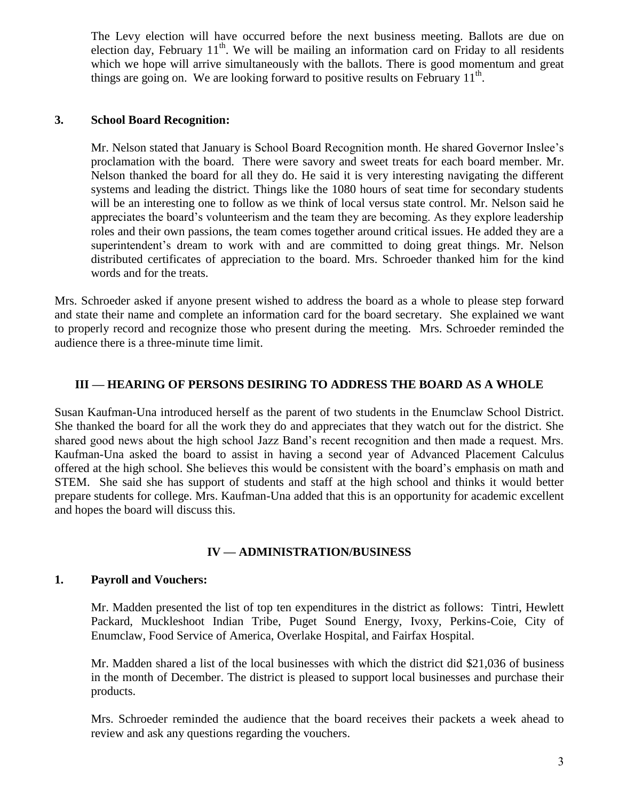The Levy election will have occurred before the next business meeting. Ballots are due on election day, February 11<sup>th</sup>. We will be mailing an information card on Friday to all residents which we hope will arrive simultaneously with the ballots. There is good momentum and great things are going on. We are looking forward to positive results on February  $11<sup>th</sup>$ .

#### **3. School Board Recognition:**

Mr. Nelson stated that January is School Board Recognition month. He shared Governor Inslee's proclamation with the board. There were savory and sweet treats for each board member. Mr. Nelson thanked the board for all they do. He said it is very interesting navigating the different systems and leading the district. Things like the 1080 hours of seat time for secondary students will be an interesting one to follow as we think of local versus state control. Mr. Nelson said he appreciates the board's volunteerism and the team they are becoming. As they explore leadership roles and their own passions, the team comes together around critical issues. He added they are a superintendent's dream to work with and are committed to doing great things. Mr. Nelson distributed certificates of appreciation to the board. Mrs. Schroeder thanked him for the kind words and for the treats.

Mrs. Schroeder asked if anyone present wished to address the board as a whole to please step forward and state their name and complete an information card for the board secretary. She explained we want to properly record and recognize those who present during the meeting. Mrs. Schroeder reminded the audience there is a three-minute time limit.

#### **III — HEARING OF PERSONS DESIRING TO ADDRESS THE BOARD AS A WHOLE**

Susan Kaufman-Una introduced herself as the parent of two students in the Enumclaw School District. She thanked the board for all the work they do and appreciates that they watch out for the district. She shared good news about the high school Jazz Band's recent recognition and then made a request. Mrs. Kaufman-Una asked the board to assist in having a second year of Advanced Placement Calculus offered at the high school. She believes this would be consistent with the board's emphasis on math and STEM. She said she has support of students and staff at the high school and thinks it would better prepare students for college. Mrs. Kaufman-Una added that this is an opportunity for academic excellent and hopes the board will discuss this.

### **IV — ADMINISTRATION/BUSINESS**

#### **1. Payroll and Vouchers:**

Mr. Madden presented the list of top ten expenditures in the district as follows: Tintri, Hewlett Packard, Muckleshoot Indian Tribe, Puget Sound Energy, Ivoxy, Perkins-Coie, City of Enumclaw, Food Service of America, Overlake Hospital, and Fairfax Hospital.

Mr. Madden shared a list of the local businesses with which the district did \$21,036 of business in the month of December. The district is pleased to support local businesses and purchase their products.

Mrs. Schroeder reminded the audience that the board receives their packets a week ahead to review and ask any questions regarding the vouchers.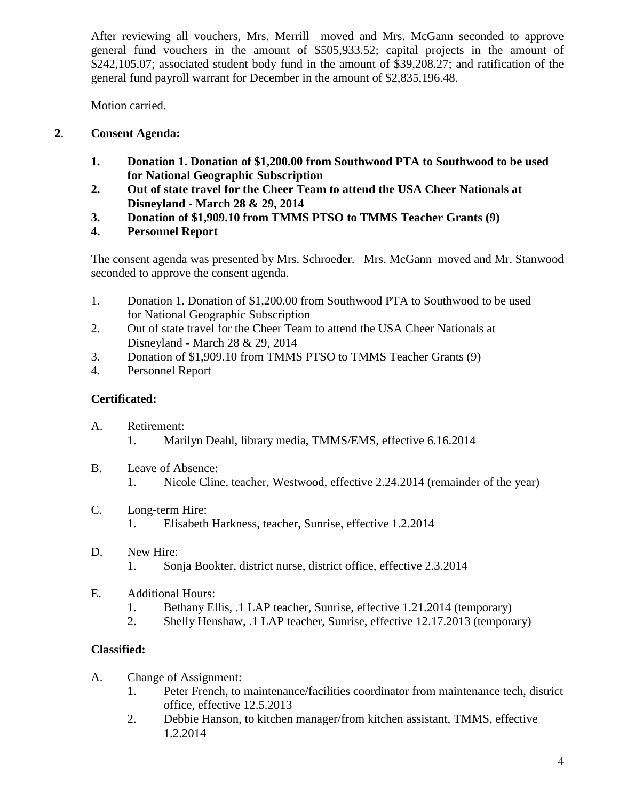After reviewing all vouchers, Mrs. Merrill moved and Mrs. McGann seconded to approve general fund vouchers in the amount of \$505,933.52; capital projects in the amount of \$242,105.07; associated student body fund in the amount of \$39,208.27; and ratification of the general fund payroll warrant for December in the amount of \$2,835,196.48.

Motion carried.

# **2**. **Consent Agenda:**

- **1. Donation 1. Donation of \$1,200.00 from Southwood PTA to Southwood to be used for National Geographic Subscription**
- **2. Out of state travel for the Cheer Team to attend the USA Cheer Nationals at Disneyland - March 28 & 29, 2014**
- **3. Donation of \$1,909.10 from TMMS PTSO to TMMS Teacher Grants (9)**
- **4. Personnel Report**

The consent agenda was presented by Mrs. Schroeder. Mrs. McGann moved and Mr. Stanwood seconded to approve the consent agenda.

- 1. Donation 1. Donation of \$1,200.00 from Southwood PTA to Southwood to be used for National Geographic Subscription
- 2. Out of state travel for the Cheer Team to attend the USA Cheer Nationals at Disneyland - March 28 & 29, 2014
- 3. Donation of \$1,909.10 from TMMS PTSO to TMMS Teacher Grants (9)
- 4. Personnel Report

# **Certificated:**

- A. Retirement:
	- 1. Marilyn Deahl, library media, TMMS/EMS, effective 6.16.2014
- B. Leave of Absence:
	- 1. Nicole Cline, teacher, Westwood, effective 2.24.2014 (remainder of the year)
- C. Long-term Hire:
	- 1. Elisabeth Harkness, teacher, Sunrise, effective 1.2.2014
- D. New Hire:
	- 1. Sonja Bookter, district nurse, district office, effective 2.3.2014
- E. Additional Hours:
	- 1. Bethany Ellis, .1 LAP teacher, Sunrise, effective 1.21.2014 (temporary)
	- 2. Shelly Henshaw, .1 LAP teacher, Sunrise, effective 12.17.2013 (temporary)

# **Classified:**

- A. Change of Assignment:
	- 1. Peter French, to maintenance/facilities coordinator from maintenance tech, district office, effective 12.5.2013
	- 2. Debbie Hanson, to kitchen manager/from kitchen assistant, TMMS, effective 1.2.2014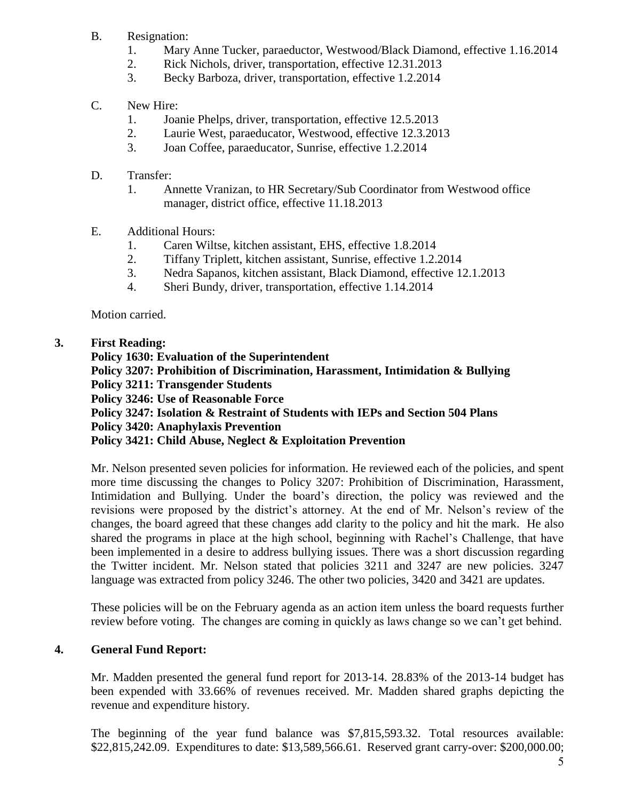- B. Resignation:
	- 1. Mary Anne Tucker, paraeductor, Westwood/Black Diamond, effective 1.16.2014
	- 2. Rick Nichols, driver, transportation, effective 12.31.2013
	- 3. Becky Barboza, driver, transportation, effective 1.2.2014

# C. New Hire:

- 1. Joanie Phelps, driver, transportation, effective 12.5.2013
- 2. Laurie West, paraeducator, Westwood, effective 12.3.2013
- 3. Joan Coffee, paraeducator, Sunrise, effective 1.2.2014

# D. Transfer:

- 1. Annette Vranizan, to HR Secretary/Sub Coordinator from Westwood office manager, district office, effective 11.18.2013
- E. Additional Hours:
	- 1. Caren Wiltse, kitchen assistant, EHS, effective 1.8.2014
	- 2. Tiffany Triplett, kitchen assistant, Sunrise, effective 1.2.2014
	- 3. Nedra Sapanos, kitchen assistant, Black Diamond, effective 12.1.2013
	- 4. Sheri Bundy, driver, transportation, effective 1.14.2014

Motion carried.

# **3. First Reading:**

**Policy 1630: Evaluation of the Superintendent Policy 3207: Prohibition of Discrimination, Harassment, Intimidation & Bullying Policy 3211: Transgender Students Policy 3246: Use of Reasonable Force Policy 3247: Isolation & Restraint of Students with IEPs and Section 504 Plans Policy 3420: Anaphylaxis Prevention Policy 3421: Child Abuse, Neglect & Exploitation Prevention**

Mr. Nelson presented seven policies for information. He reviewed each of the policies, and spent more time discussing the changes to Policy 3207: Prohibition of Discrimination, Harassment, Intimidation and Bullying. Under the board's direction, the policy was reviewed and the revisions were proposed by the district's attorney. At the end of Mr. Nelson's review of the changes, the board agreed that these changes add clarity to the policy and hit the mark. He also shared the programs in place at the high school, beginning with Rachel's Challenge, that have been implemented in a desire to address bullying issues. There was a short discussion regarding the Twitter incident. Mr. Nelson stated that policies 3211 and 3247 are new policies. 3247 language was extracted from policy 3246. The other two policies, 3420 and 3421 are updates.

These policies will be on the February agenda as an action item unless the board requests further review before voting. The changes are coming in quickly as laws change so we can't get behind.

# **4. General Fund Report:**

Mr. Madden presented the general fund report for 2013-14. 28.83% of the 2013-14 budget has been expended with 33.66% of revenues received. Mr. Madden shared graphs depicting the revenue and expenditure history.

The beginning of the year fund balance was \$7,815,593.32. Total resources available: \$22,815,242.09. Expenditures to date: \$13,589,566.61. Reserved grant carry-over: \$200,000.00;